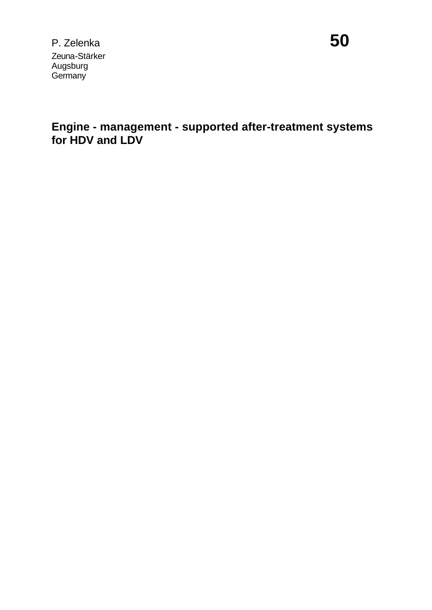**Engine - management - supported after-treatment systems for HDV and LDV**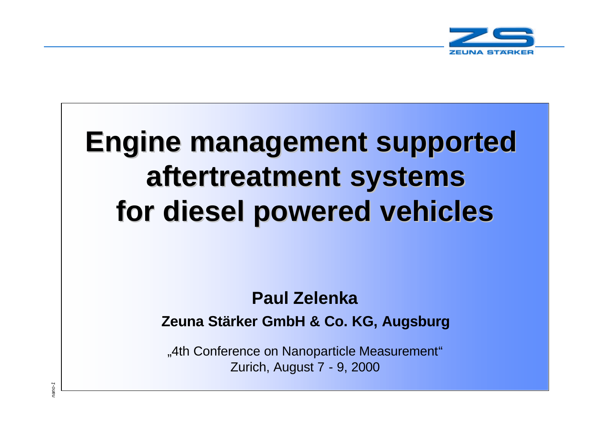

# **Engine management supported aftertreatment systems for diesel powered vehicles**

# **Paul Zelenka**

**Zeuna Stärker GmbH & Co. KG, Augsburg**

"4th Conference on Nanoparticle Measurement" Zurich, August 7 - 9, 2000

*nano-1*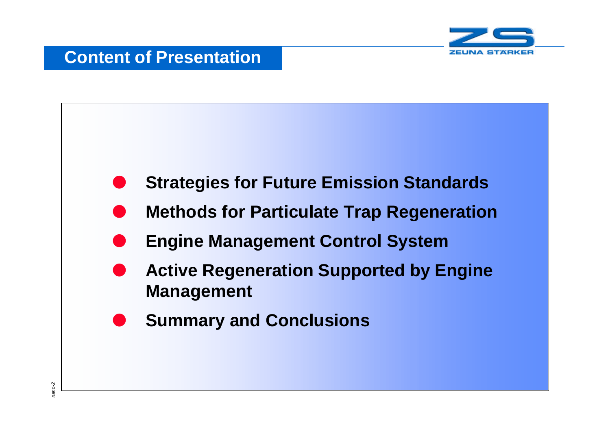

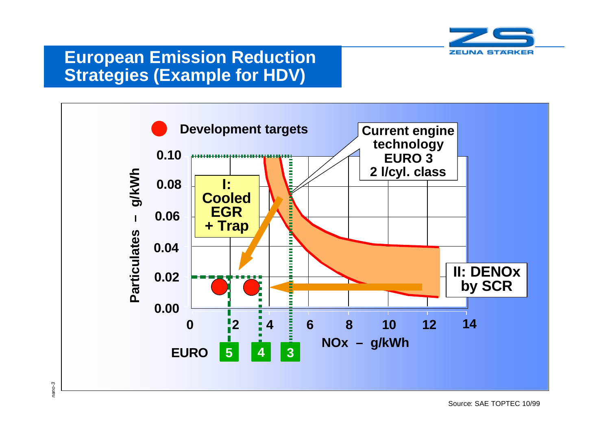

#### **European Emission Reduction Strategies (Example for HDV)**

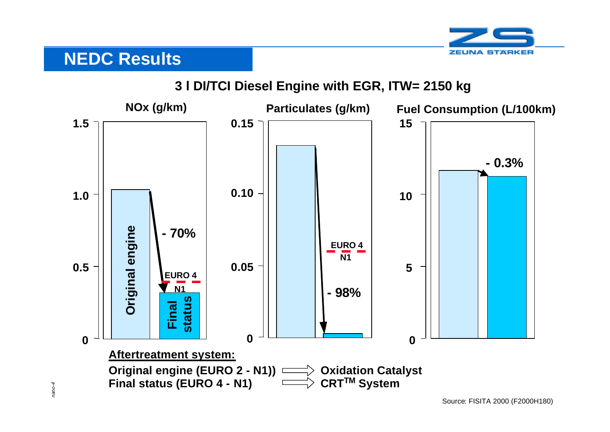

# **NEDC Results**

*nano-4*

#### **3 l DI/TCI Diesel Engine with EGR, ITW= 2150 kg**

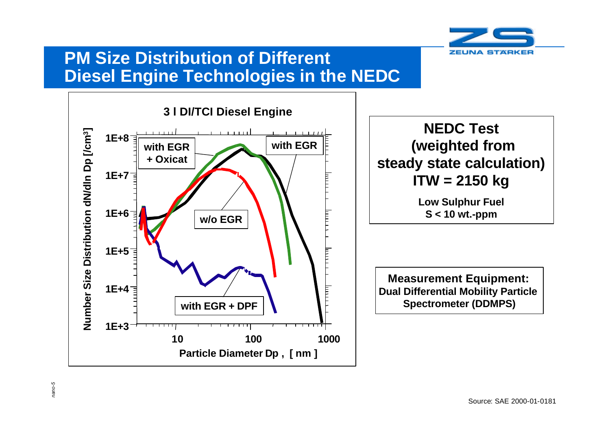

#### **PM Size Distribution of Different Diesel Engine Technologies in the NEDC**



*nano-5*

**NEDC Test (weighted from steady state calculation) ITW = 2150 kg**

> **Low Sulphur Fuel S < 10 wt.-ppm**

**Measurement Equipment: Dual Differential Mobility Particle Spectrometer (DDMPS)**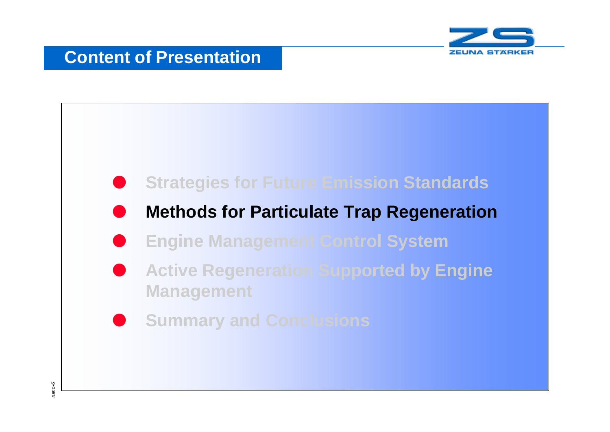

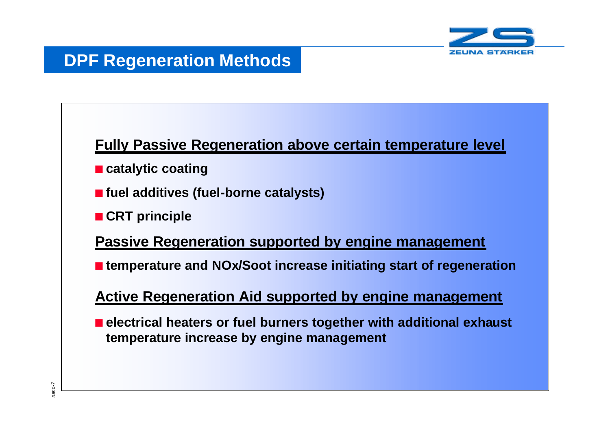

**Fully Passive Regeneration above certain temperature level**

- catalytic coating
- fuel additives (fuel-borne catalysts)
- **n** CRT principle

**Passive Regeneration supported by engine management**

■ temperature and NOx/Soot increase initiating start of regeneration

**Active Regeneration Aid supported by engine management**

**PPF Regeneration Methods**<br> **Fully Passive Regeneration and Catalytic coating**<br> **n** fuel additives (fuel-borne cata<br> **n** CRT principle<br> **Passive Regeneration support in temperature and NOx/Soot inconduction Aid support ele n** electrical heaters or fuel burners together with additional exhaust **temperature increase by engine management**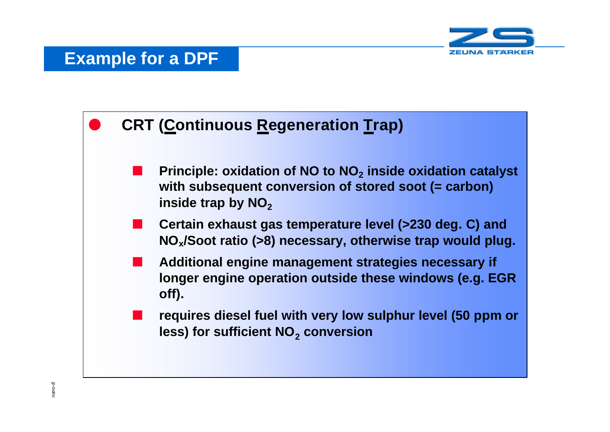

#### **Example for a DPF**

#### **CRT (Continuous Regeneration Trap)**

- **n** Principle: oxidation of NO to NO<sub>2</sub> inside oxidation catalyst **with subsequent conversion of stored soot (= carbon) inside trap by NO<sub>2</sub>**
- n **Certain exhaust gas temperature level (>230 deg. C) and NOx/Soot ratio (>8) necessary, otherwise trap would plug.**
- n **Additional engine management strategies necessary if longer engine operation outside these windows (e.g. EGR off).**
	- n **requires diesel fuel with very low sulphur level (50 ppm or less) for sufficient NO<sup>2</sup> conversion**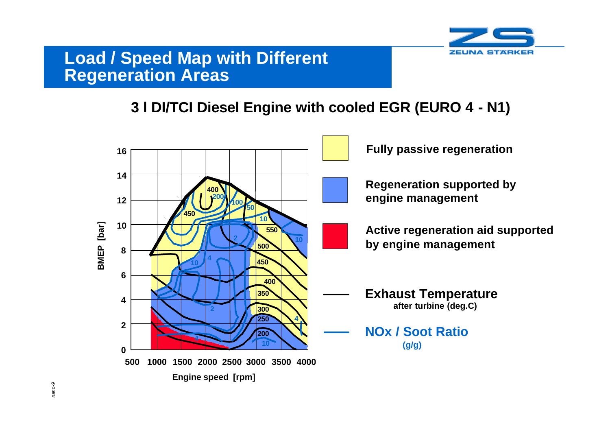

#### **Load / Speed Map with Different Regeneration Areas**

#### **3 l DI/TCI Diesel Engine with cooled EGR (EURO 4 - N1)**

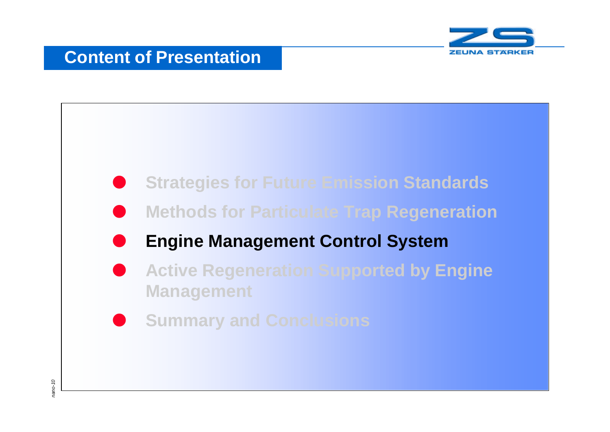

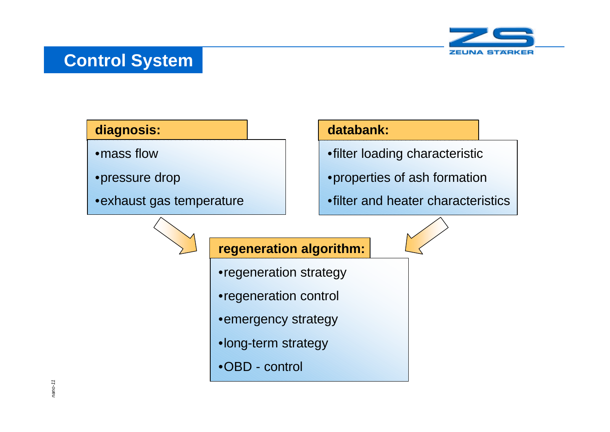# **Control System**



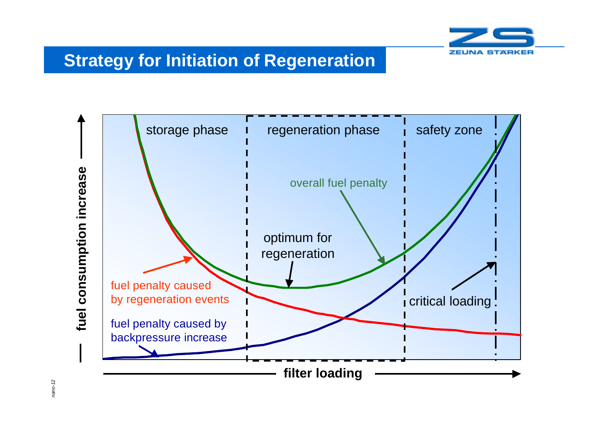

# **Strategy for Initiation of Regeneration**



*nano-12*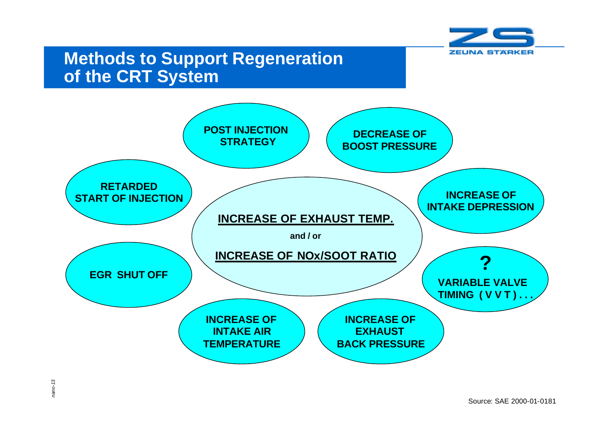

#### **Methods to Support Regeneration of the CRT System**

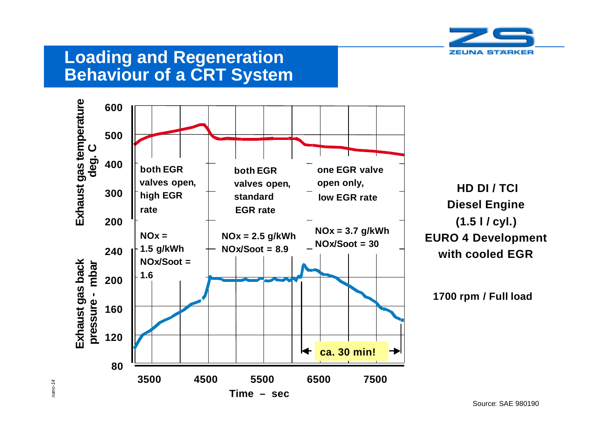

#### **Loading and Regeneration Behaviour of a CRT System**



*nano-14*

Source: SAE 980190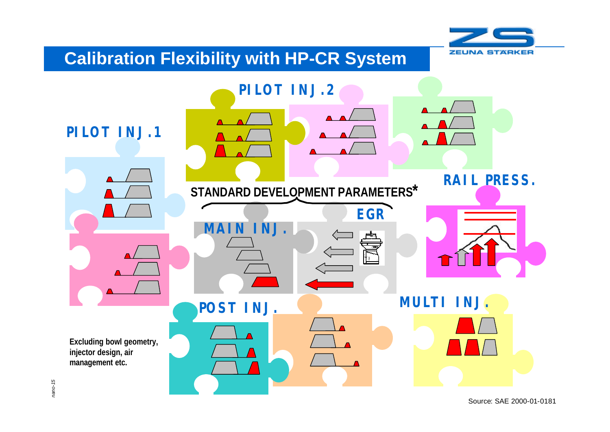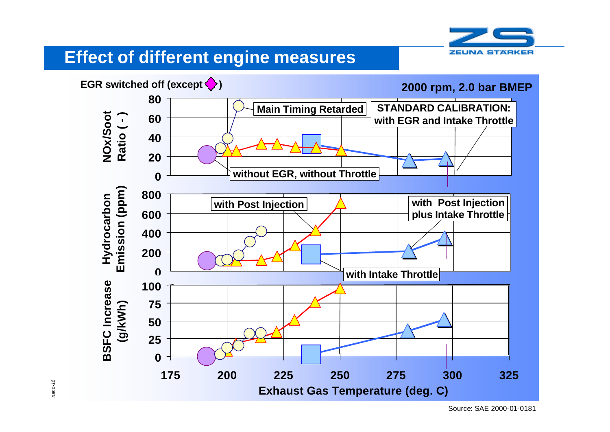

# **Effect of different engine measures**



*nano-16*

Source: SAE 2000-01-0181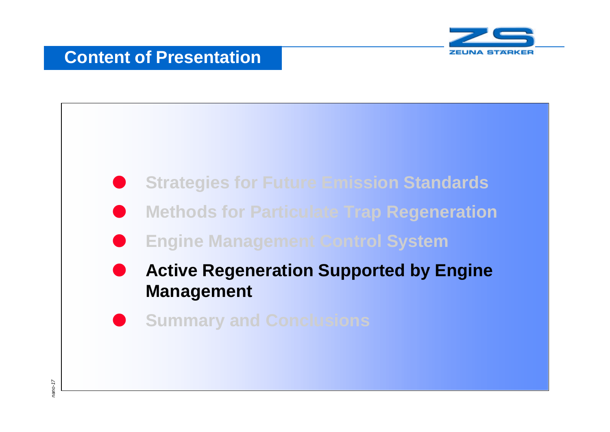

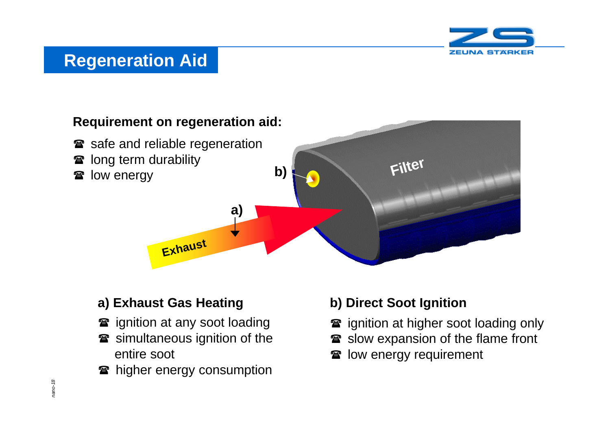

#### **Regeneration Aid**

#### **Requirement on regeneration aid:**

- safe and reliable regeneration
- **<sup>3</sup>** long term durability
- 



#### **a) Exhaust Gas Heating**

- **<sup>3</sup>** ignition at any soot loading
- **<sup>3</sup>** simultaneous ignition of the entire soot
- **The higher energy consumption**

#### **b) Direct Soot Ignition**

- **T** ignition at higher soot loading only
- solow expansion of the flame front
- solow energy requirement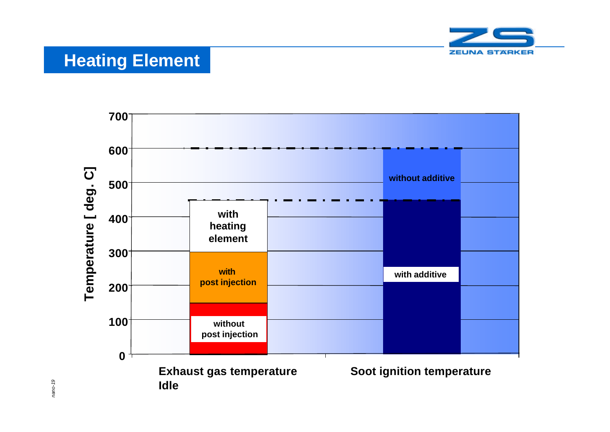

# **Heating Element**



*nano-19*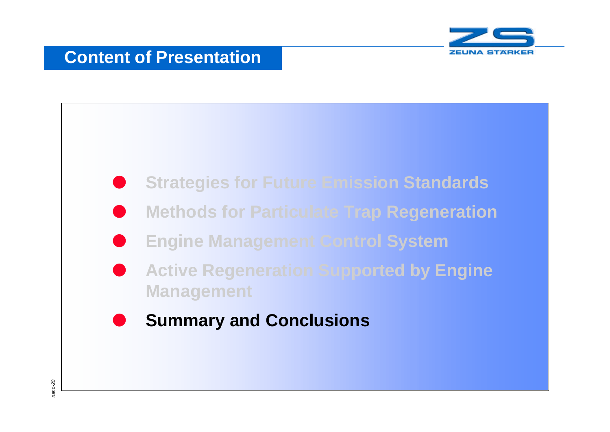